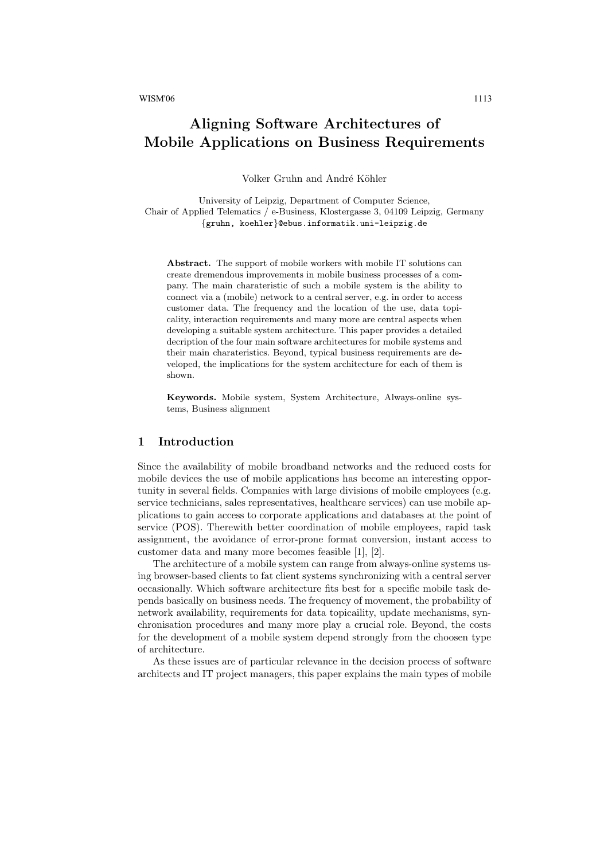# Aligning Software Architectures of Mobile Applications on Business Requirements

Volker Gruhn and André Köhler

University of Leipzig, Department of Computer Science, Chair of Applied Telematics / e-Business, Klostergasse 3, 04109 Leipzig, Germany {gruhn, koehler}@ebus.informatik.uni-leipzig.de

Abstract. The support of mobile workers with mobile IT solutions can create dremendous improvements in mobile business processes of a company. The main charateristic of such a mobile system is the ability to connect via a (mobile) network to a central server, e.g. in order to access customer data. The frequency and the location of the use, data topicality, interaction requirements and many more are central aspects when developing a suitable system architecture. This paper provides a detailed decription of the four main software architectures for mobile systems and their main charateristics. Beyond, typical business requirements are developed, the implications for the system architecture for each of them is shown.

Keywords. Mobile system, System Architecture, Always-online systems, Business alignment

# 1 Introduction

Since the availability of mobile broadband networks and the reduced costs for mobile devices the use of mobile applications has become an interesting opportunity in several fields. Companies with large divisions of mobile employees (e.g. service technicians, sales representatives, healthcare services) can use mobile applications to gain access to corporate applications and databases at the point of service (POS). Therewith better coordination of mobile employees, rapid task assignment, the avoidance of error-prone format conversion, instant access to customer data and many more becomes feasible [1], [2].

The architecture of a mobile system can range from always-online systems using browser-based clients to fat client systems synchronizing with a central server occasionally. Which software architecture fits best for a specific mobile task depends basically on business needs. The frequency of movement, the probability of network availability, requirements for data topicaility, update mechanisms, synchronisation procedures and many more play a crucial role. Beyond, the costs for the development of a mobile system depend strongly from the choosen type of architecture.

As these issues are of particular relevance in the decision process of software architects and IT project managers, this paper explains the main types of mobile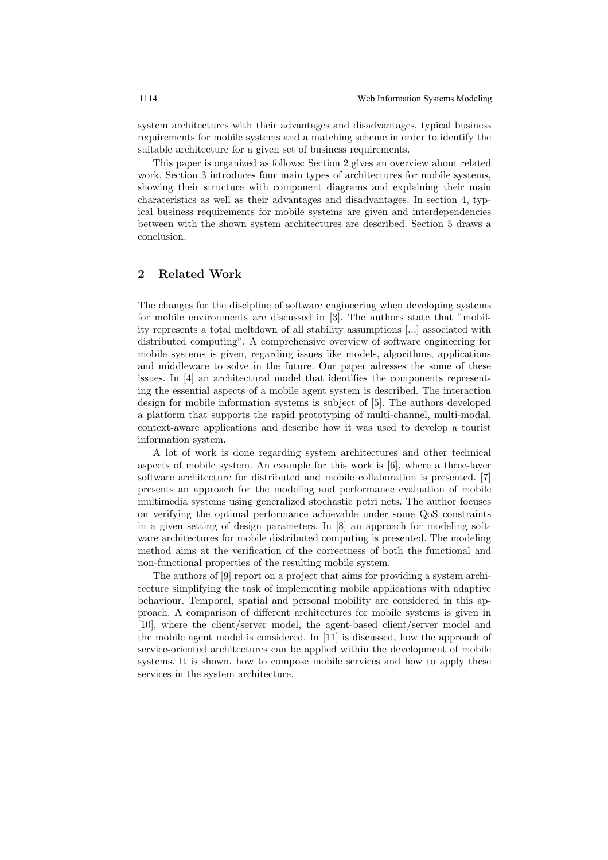system architectures with their advantages and disadvantages, typical business requirements for mobile systems and a matching scheme in order to identify the suitable architecture for a given set of business requirements.

This paper is organized as follows: Section 2 gives an overview about related work. Section 3 introduces four main types of architectures for mobile systems, showing their structure with component diagrams and explaining their main charateristics as well as their advantages and disadvantages. In section 4, typical business requirements for mobile systems are given and interdependencies between with the shown system architectures are described. Section 5 draws a conclusion.

# 2 Related Work

The changes for the discipline of software engineering when developing systems for mobile environments are discussed in [3]. The authors state that "mobility represents a total meltdown of all stability assumptions [...] associated with distributed computing". A comprehensive overview of software engineering for mobile systems is given, regarding issues like models, algorithms, applications and middleware to solve in the future. Our paper adresses the some of these issues. In [4] an architectural model that identifies the components representing the essential aspects of a mobile agent system is described. The interaction design for mobile information systems is subject of [5]. The authors developed a platform that supports the rapid prototyping of multi-channel, multi-modal, context-aware applications and describe how it was used to develop a tourist information system.

A lot of work is done regarding system architectures and other technical aspects of mobile system. An example for this work is [6], where a three-layer software architecture for distributed and mobile collaboration is presented. [7] presents an approach for the modeling and performance evaluation of mobile multimedia systems using generalized stochastic petri nets. The author focuses on verifying the optimal performance achievable under some QoS constraints in a given setting of design parameters. In [8] an approach for modeling software architectures for mobile distributed computing is presented. The modeling method aims at the verification of the correctness of both the functional and non-functional properties of the resulting mobile system.

The authors of [9] report on a project that aims for providing a system architecture simplifying the task of implementing mobile applications with adaptive behaviour. Temporal, spatial and personal mobility are considered in this approach. A comparison of different architectures for mobile systems is given in [10], where the client/server model, the agent-based client/server model and the mobile agent model is considered. In [11] is discussed, how the approach of service-oriented architectures can be applied within the development of mobile systems. It is shown, how to compose mobile services and how to apply these services in the system architecture.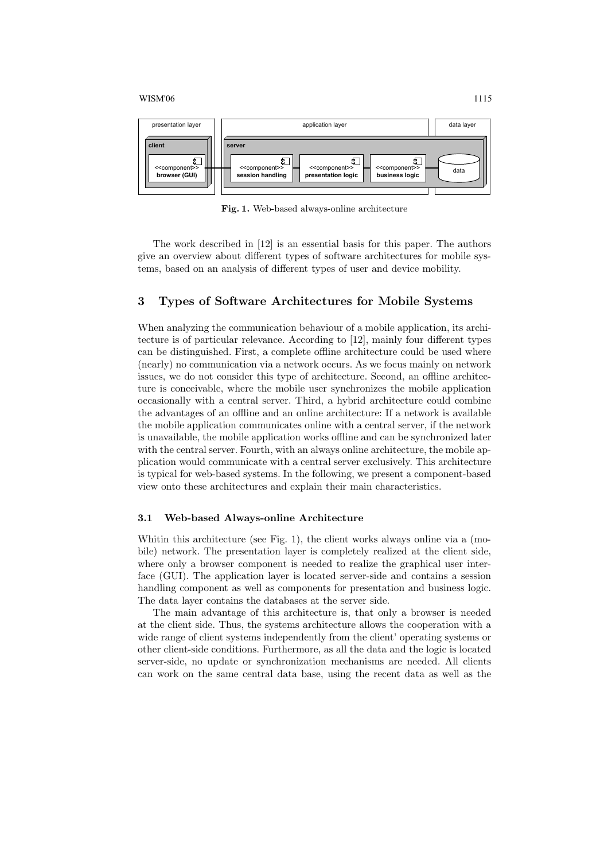

Fig. 1. Web-based always-online architecture

The work described in [12] is an essential basis for this paper. The authors give an overview about different types of software architectures for mobile systems, based on an analysis of different types of user and device mobility.

# 3 Types of Software Architectures for Mobile Systems

When analyzing the communication behaviour of a mobile application, its architecture is of particular relevance. According to [12], mainly four different types can be distinguished. First, a complete offline architecture could be used where (nearly) no communication via a network occurs. As we focus mainly on network issues, we do not consider this type of architecture. Second, an offline architecture is conceivable, where the mobile user synchronizes the mobile application occasionally with a central server. Third, a hybrid architecture could combine the advantages of an offline and an online architecture: If a network is available the mobile application communicates online with a central server, if the network is unavailable, the mobile application works offline and can be synchronized later with the central server. Fourth, with an always online architecture, the mobile application would communicate with a central server exclusively. This architecture is typical for web-based systems. In the following, we present a component-based view onto these architectures and explain their main characteristics.

### 3.1 Web-based Always-online Architecture

Whitin this architecture (see Fig. 1), the client works always online via a (mobile) network. The presentation layer is completely realized at the client side, where only a browser component is needed to realize the graphical user interface (GUI). The application layer is located server-side and contains a session handling component as well as components for presentation and business logic. The data layer contains the databases at the server side.

The main advantage of this architecture is, that only a browser is needed at the client side. Thus, the systems architecture allows the cooperation with a wide range of client systems independently from the client' operating systems or other client-side conditions. Furthermore, as all the data and the logic is located server-side, no update or synchronization mechanisms are needed. All clients can work on the same central data base, using the recent data as well as the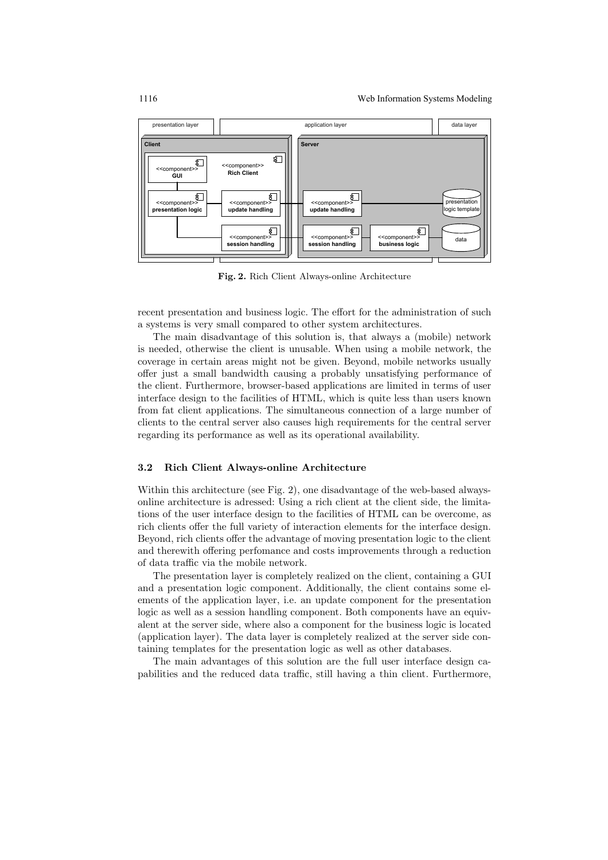

Fig. 2. Rich Client Always-online Architecture

recent presentation and business logic. The effort for the administration of such a systems is very small compared to other system architectures.

The main disadvantage of this solution is, that always a (mobile) network is needed, otherwise the client is unusable. When using a mobile network, the coverage in certain areas might not be given. Beyond, mobile networks usually offer just a small bandwidth causing a probably unsatisfying performance of the client. Furthermore, browser-based applications are limited in terms of user interface design to the facilities of HTML, which is quite less than users known from fat client applications. The simultaneous connection of a large number of clients to the central server also causes high requirements for the central server regarding its performance as well as its operational availability.

### 3.2 Rich Client Always-online Architecture

Within this architecture (see Fig. 2), one disadvantage of the web-based alwaysonline architecture is adressed: Using a rich client at the client side, the limitations of the user interface design to the facilities of HTML can be overcome, as rich clients offer the full variety of interaction elements for the interface design. Beyond, rich clients offer the advantage of moving presentation logic to the client and therewith offering perfomance and costs improvements through a reduction of data traffic via the mobile network.

The presentation layer is completely realized on the client, containing a GUI and a presentation logic component. Additionally, the client contains some elements of the application layer, i.e. an update component for the presentation logic as well as a session handling component. Both components have an equivalent at the server side, where also a component for the business logic is located (application layer). The data layer is completely realized at the server side containing templates for the presentation logic as well as other databases.

The main advantages of this solution are the full user interface design capabilities and the reduced data traffic, still having a thin client. Furthermore,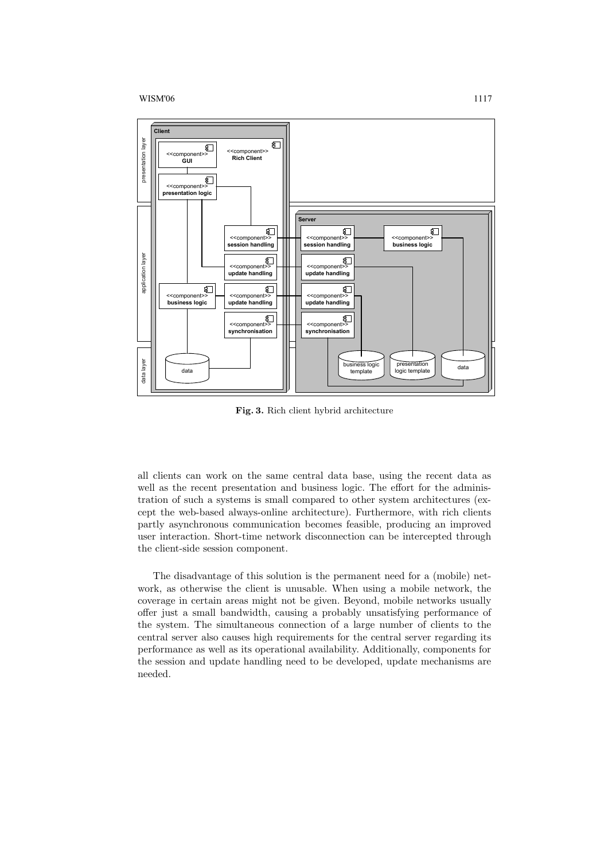

Fig. 3. Rich client hybrid architecture

all clients can work on the same central data base, using the recent data as well as the recent presentation and business logic. The effort for the administration of such a systems is small compared to other system architectures (except the web-based always-online architecture). Furthermore, with rich clients partly asynchronous communication becomes feasible, producing an improved user interaction. Short-time network disconnection can be intercepted through the client-side session component.

The disadvantage of this solution is the permanent need for a (mobile) network, as otherwise the client is unusable. When using a mobile network, the coverage in certain areas might not be given. Beyond, mobile networks usually offer just a small bandwidth, causing a probably unsatisfying performance of the system. The simultaneous connection of a large number of clients to the central server also causes high requirements for the central server regarding its performance as well as its operational availability. Additionally, components for the session and update handling need to be developed, update mechanisms are needed.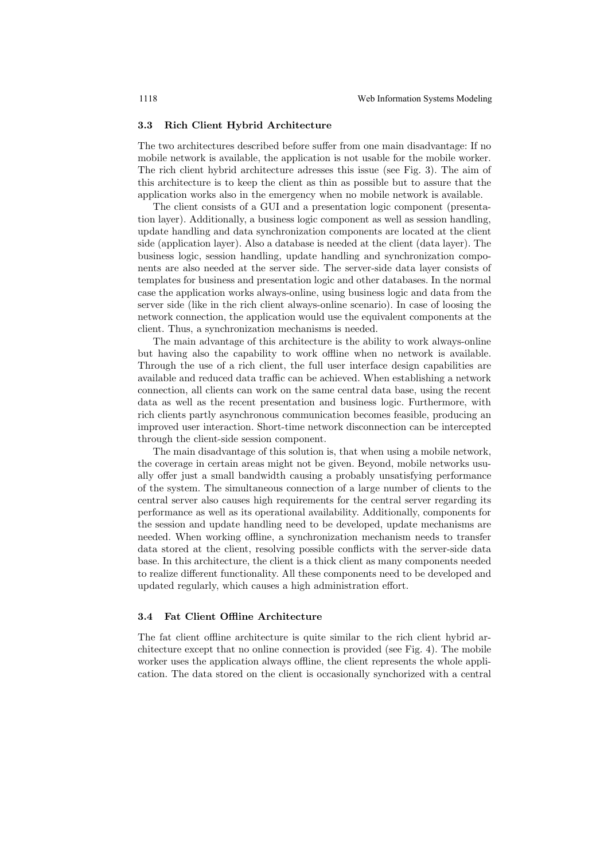#### 3.3 Rich Client Hybrid Architecture

The two architectures described before suffer from one main disadvantage: If no mobile network is available, the application is not usable for the mobile worker. The rich client hybrid architecture adresses this issue (see Fig. 3). The aim of this architecture is to keep the client as thin as possible but to assure that the application works also in the emergency when no mobile network is available.

The client consists of a GUI and a presentation logic component (presentation layer). Additionally, a business logic component as well as session handling, update handling and data synchronization components are located at the client side (application layer). Also a database is needed at the client (data layer). The business logic, session handling, update handling and synchronization components are also needed at the server side. The server-side data layer consists of templates for business and presentation logic and other databases. In the normal case the application works always-online, using business logic and data from the server side (like in the rich client always-online scenario). In case of loosing the network connection, the application would use the equivalent components at the client. Thus, a synchronization mechanisms is needed.

The main advantage of this architecture is the ability to work always-online but having also the capability to work offline when no network is available. Through the use of a rich client, the full user interface design capabilities are available and reduced data traffic can be achieved. When establishing a network connection, all clients can work on the same central data base, using the recent data as well as the recent presentation and business logic. Furthermore, with rich clients partly asynchronous communication becomes feasible, producing an improved user interaction. Short-time network disconnection can be intercepted through the client-side session component.

The main disadvantage of this solution is, that when using a mobile network, the coverage in certain areas might not be given. Beyond, mobile networks usually offer just a small bandwidth causing a probably unsatisfying performance of the system. The simultaneous connection of a large number of clients to the central server also causes high requirements for the central server regarding its performance as well as its operational availability. Additionally, components for the session and update handling need to be developed, update mechanisms are needed. When working offline, a synchronization mechanism needs to transfer data stored at the client, resolving possible conflicts with the server-side data base. In this architecture, the client is a thick client as many components needed to realize different functionality. All these components need to be developed and updated regularly, which causes a high administration effort.

### 3.4 Fat Client Offline Architecture

The fat client offline architecture is quite similar to the rich client hybrid architecture except that no online connection is provided (see Fig. 4). The mobile worker uses the application always offline, the client represents the whole application. The data stored on the client is occasionally synchorized with a central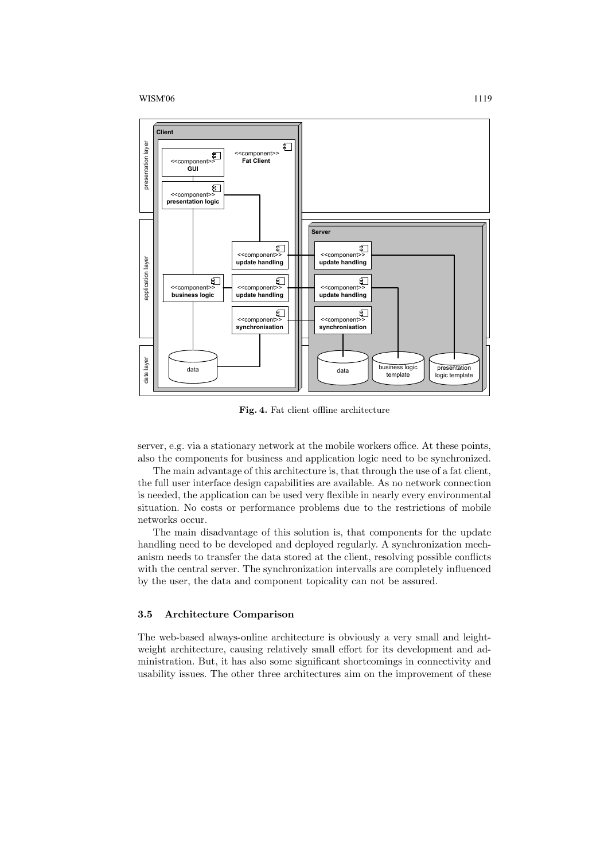

Fig. 4. Fat client offline architecture

server, e.g. via a stationary network at the mobile workers office. At these points, also the components for business and application logic need to be synchronized.

The main advantage of this architecture is, that through the use of a fat client, the full user interface design capabilities are available. As no network connection is needed, the application can be used very flexible in nearly every environmental situation. No costs or performance problems due to the restrictions of mobile networks occur.

The main disadvantage of this solution is, that components for the update handling need to be developed and deployed regularly. A synchronization mechanism needs to transfer the data stored at the client, resolving possible conflicts with the central server. The synchronization intervalls are completely influenced by the user, the data and component topicality can not be assured.

# 3.5 Architecture Comparison

The web-based always-online architecture is obviously a very small and leightweight architecture, causing relatively small effort for its development and administration. But, it has also some significant shortcomings in connectivity and usability issues. The other three architectures aim on the improvement of these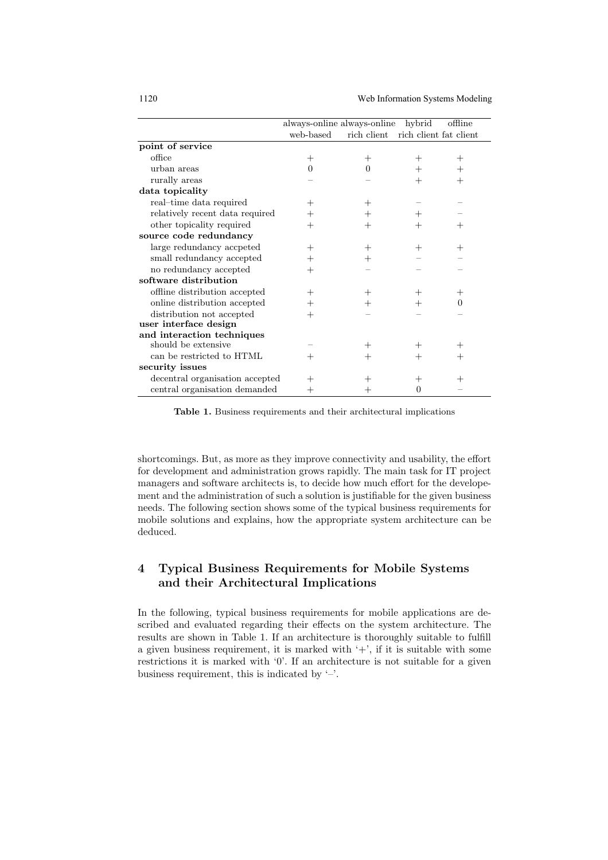1120 Web Information Systems Modeling

|                                 | always-online always-online |             | hybrid                 | offline |
|---------------------------------|-----------------------------|-------------|------------------------|---------|
|                                 | web-based                   | rich client | rich client fat client |         |
| point of service                |                             |             |                        |         |
| office                          | $^+$                        | $^+$        | $^+$                   | $^+$    |
| urban areas                     | 0                           | $\Omega$    | +                      | $\pm$   |
| rurally areas                   |                             |             | +                      | $^+$    |
| data topicality                 |                             |             |                        |         |
| real-time data required         | $^+$                        | $^+$        |                        |         |
| relatively recent data required | $^+$                        | $\pm$       | ┿                      |         |
| other topicality required       | $^+$                        | $^+$        | +                      | $^+$    |
| source code redundancy          |                             |             |                        |         |
| large redundancy accpeted       | $^+$                        | $^+$        | $\, +$                 | $^+$    |
| small redundancy accepted       | $^+$                        | $\pm$       |                        |         |
| no redundancy accepted          | $\pm$                       |             |                        |         |
| software distribution           |                             |             |                        |         |
| offline distribution accepted   | $^+$                        | $^+$        | ┿                      | ┿       |
| online distribution accepted    | $^+$                        | $\pm$       |                        | 0       |
| distribution not accepted       | $^+$                        |             |                        |         |
| user interface design           |                             |             |                        |         |
| and interaction techniques      |                             |             |                        |         |
| should be extensive             |                             | $^+$        |                        |         |
| can be restricted to HTML       | $^+$                        | $^+$        | ┿                      | $^+$    |
| security issues                 |                             |             |                        |         |
| decentral organisation accepted | $^+$                        |             | $^+$                   | $^+$    |
| central organisation demanded   | $^+$                        | ┿           | 0                      |         |

Table 1. Business requirements and their architectural implications

shortcomings. But, as more as they improve connectivity and usability, the effort for development and administration grows rapidly. The main task for IT project managers and software architects is, to decide how much effort for the developement and the administration of such a solution is justifiable for the given business needs. The following section shows some of the typical business requirements for mobile solutions and explains, how the appropriate system architecture can be deduced.

# 4 Typical Business Requirements for Mobile Systems and their Architectural Implications

In the following, typical business requirements for mobile applications are described and evaluated regarding their effects on the system architecture. The results are shown in Table 1. If an architecture is thoroughly suitable to fulfill a given business requirement, it is marked with  $'$ +', if it is suitable with some restrictions it is marked with '0'. If an architecture is not suitable for a given business requirement, this is indicated by  $\prime$ -'.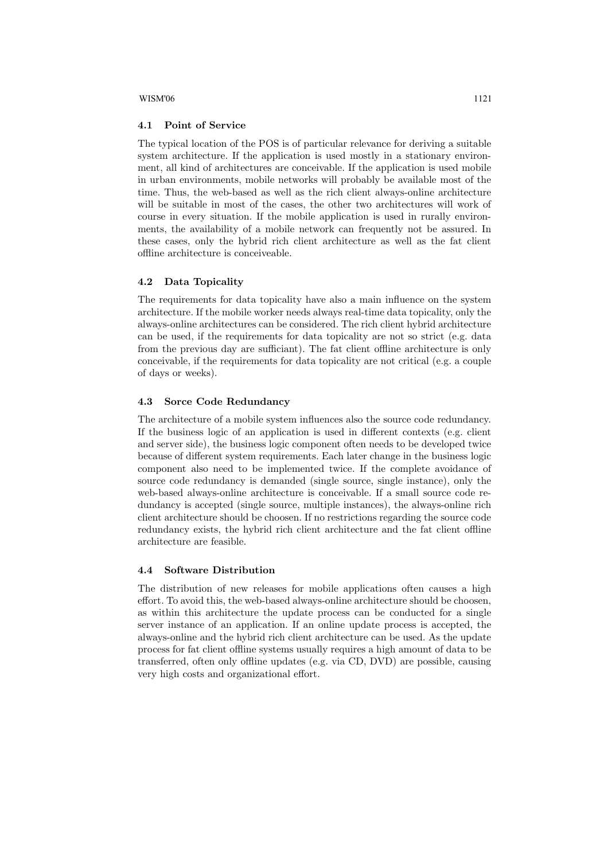#### 4.1 Point of Service

The typical location of the POS is of particular relevance for deriving a suitable system architecture. If the application is used mostly in a stationary environment, all kind of architectures are conceivable. If the application is used mobile in urban environments, mobile networks will probably be available most of the time. Thus, the web-based as well as the rich client always-online architecture will be suitable in most of the cases, the other two architectures will work of course in every situation. If the mobile application is used in rurally environments, the availability of a mobile network can frequently not be assured. In these cases, only the hybrid rich client architecture as well as the fat client offline architecture is conceiveable.

## 4.2 Data Topicality

The requirements for data topicality have also a main influence on the system architecture. If the mobile worker needs always real-time data topicality, only the always-online architectures can be considered. The rich client hybrid architecture can be used, if the requirements for data topicality are not so strict (e.g. data from the previous day are sufficiant). The fat client offline architecture is only conceivable, if the requirements for data topicality are not critical (e.g. a couple of days or weeks).

## 4.3 Sorce Code Redundancy

The architecture of a mobile system influences also the source code redundancy. If the business logic of an application is used in different contexts (e.g. client and server side), the business logic component often needs to be developed twice because of different system requirements. Each later change in the business logic component also need to be implemented twice. If the complete avoidance of source code redundancy is demanded (single source, single instance), only the web-based always-online architecture is conceivable. If a small source code redundancy is accepted (single source, multiple instances), the always-online rich client architecture should be choosen. If no restrictions regarding the source code redundancy exists, the hybrid rich client architecture and the fat client offline architecture are feasible.

### 4.4 Software Distribution

The distribution of new releases for mobile applications often causes a high effort. To avoid this, the web-based always-online architecture should be choosen, as within this architecture the update process can be conducted for a single server instance of an application. If an online update process is accepted, the always-online and the hybrid rich client architecture can be used. As the update process for fat client offline systems usually requires a high amount of data to be transferred, often only offline updates (e.g. via CD, DVD) are possible, causing very high costs and organizational effort.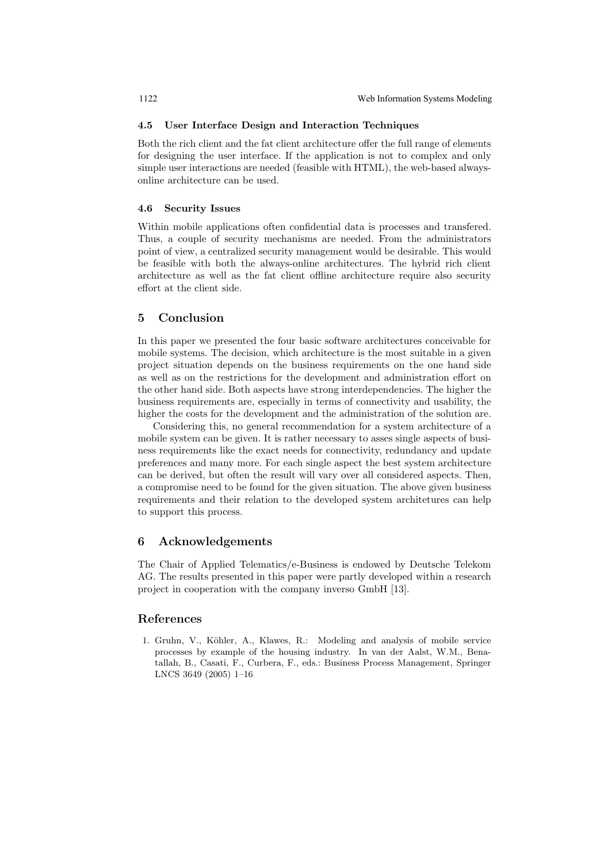#### 4.5 User Interface Design and Interaction Techniques

Both the rich client and the fat client architecture offer the full range of elements for designing the user interface. If the application is not to complex and only simple user interactions are needed (feasible with HTML), the web-based alwaysonline architecture can be used.

### 4.6 Security Issues

Within mobile applications often confidential data is processes and transfered. Thus, a couple of security mechanisms are needed. From the administrators point of view, a centralized security management would be desirable. This would be feasible with both the always-online architectures. The hybrid rich client architecture as well as the fat client offline architecture require also security effort at the client side.

# 5 Conclusion

In this paper we presented the four basic software architectures conceivable for mobile systems. The decision, which architecture is the most suitable in a given project situation depends on the business requirements on the one hand side as well as on the restrictions for the development and administration effort on the other hand side. Both aspects have strong interdependencies. The higher the business requirements are, especially in terms of connectivity and usability, the higher the costs for the development and the administration of the solution are.

Considering this, no general recommendation for a system architecture of a mobile system can be given. It is rather necessary to asses single aspects of business requirements like the exact needs for connectivity, redundancy and update preferences and many more. For each single aspect the best system architecture can be derived, but often the result will vary over all considered aspects. Then, a compromise need to be found for the given situation. The above given business requirements and their relation to the developed system architetures can help to support this process.

# 6 Acknowledgements

The Chair of Applied Telematics/e-Business is endowed by Deutsche Telekom AG. The results presented in this paper were partly developed within a research project in cooperation with the company inverso GmbH [13].

### References

1. Gruhn, V., Köhler, A., Klawes, R.: Modeling and analysis of mobile service processes by example of the housing industry. In van der Aalst, W.M., Benatallah, B., Casati, F., Curbera, F., eds.: Business Process Management, Springer LNCS 3649 (2005) 1–16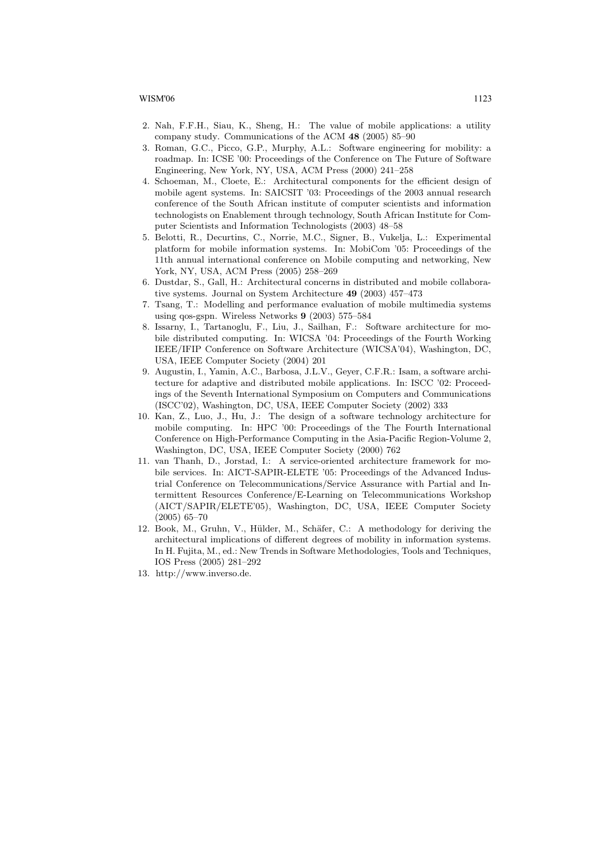- 2. Nah, F.F.H., Siau, K., Sheng, H.: The value of mobile applications: a utility company study. Communications of the ACM 48 (2005) 85–90
- 3. Roman, G.C., Picco, G.P., Murphy, A.L.: Software engineering for mobility: a roadmap. In: ICSE '00: Proceedings of the Conference on The Future of Software Engineering, New York, NY, USA, ACM Press (2000) 241–258
- 4. Schoeman, M., Cloete, E.: Architectural components for the efficient design of mobile agent systems. In: SAICSIT '03: Proceedings of the 2003 annual research conference of the South African institute of computer scientists and information technologists on Enablement through technology, South African Institute for Computer Scientists and Information Technologists (2003) 48–58
- 5. Belotti, R., Decurtins, C., Norrie, M.C., Signer, B., Vukelja, L.: Experimental platform for mobile information systems. In: MobiCom '05: Proceedings of the 11th annual international conference on Mobile computing and networking, New York, NY, USA, ACM Press (2005) 258–269
- 6. Dustdar, S., Gall, H.: Architectural concerns in distributed and mobile collaborative systems. Journal on System Architecture 49 (2003) 457–473
- 7. Tsang, T.: Modelling and performance evaluation of mobile multimedia systems using qos-gspn. Wireless Networks 9 (2003) 575–584
- 8. Issarny, I., Tartanoglu, F., Liu, J., Sailhan, F.: Software architecture for mobile distributed computing. In: WICSA '04: Proceedings of the Fourth Working IEEE/IFIP Conference on Software Architecture (WICSA'04), Washington, DC, USA, IEEE Computer Society (2004) 201
- 9. Augustin, I., Yamin, A.C., Barbosa, J.L.V., Geyer, C.F.R.: Isam, a software architecture for adaptive and distributed mobile applications. In: ISCC '02: Proceedings of the Seventh International Symposium on Computers and Communications (ISCC'02), Washington, DC, USA, IEEE Computer Society (2002) 333
- 10. Kan, Z., Luo, J., Hu, J.: The design of a software technology architecture for mobile computing. In: HPC '00: Proceedings of the The Fourth International Conference on High-Performance Computing in the Asia-Pacific Region-Volume 2, Washington, DC, USA, IEEE Computer Society (2000) 762
- 11. van Thanh, D., Jorstad, I.: A service-oriented architecture framework for mobile services. In: AICT-SAPIR-ELETE '05: Proceedings of the Advanced Industrial Conference on Telecommunications/Service Assurance with Partial and Intermittent Resources Conference/E-Learning on Telecommunications Workshop (AICT/SAPIR/ELETE'05), Washington, DC, USA, IEEE Computer Society (2005) 65–70
- 12. Book, M., Gruhn, V., Hülder, M., Schäfer, C.: A methodology for deriving the architectural implications of different degrees of mobility in information systems. In H. Fujita, M., ed.: New Trends in Software Methodologies, Tools and Techniques, IOS Press (2005) 281–292
- 13. http://www.inverso.de.